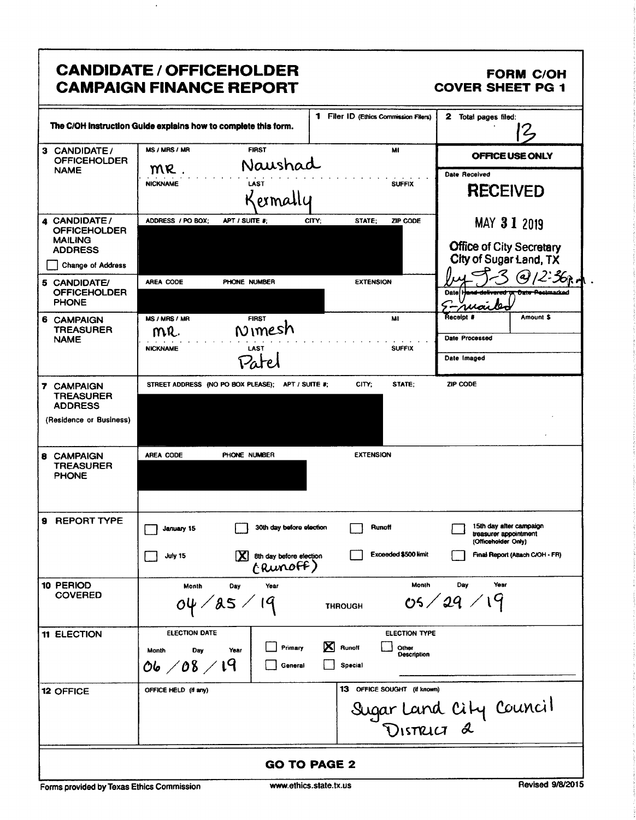|                                                                                                   | <b>CANDIDATE / OFFICEHOLDER</b><br><b>CAMPAIGN FINANCE REPORT</b>                                                                                            | <b>FORM C/OH</b><br><b>COVER SHEET PG 1</b>                                                                |  |
|---------------------------------------------------------------------------------------------------|--------------------------------------------------------------------------------------------------------------------------------------------------------------|------------------------------------------------------------------------------------------------------------|--|
|                                                                                                   | <b>1</b> Filer ID (Ethics Commission Filers)<br>The C/OH instruction Guide explains how to complete this form.                                               | 2<br>Total pages filed:                                                                                    |  |
| 3 CANDIDATE/<br><b>OFFICEHOLDER</b>                                                               | MS / MRS / MR<br><b>FIRST</b><br>MI<br>Naushad                                                                                                               | OFFICE USE ONLY                                                                                            |  |
| <b>NAME</b>                                                                                       | MR<br><b>NICKNAME</b><br><b>SUFFIX</b><br><b>LAST</b><br>Kermal                                                                                              | <b>Date Received</b><br><b>RECEIVED</b>                                                                    |  |
| CANDIDATE/<br><b>OFFICEHOLDER</b><br><b>MAILING</b><br><b>ADDRESS</b><br><b>Change of Address</b> | ADDRESS / PO BOX;<br>APT / SUITE #:<br>CITY;<br>STATE:<br>ZIP CODE                                                                                           | MAY 3 1 2019<br><b>Office of City Secretary</b><br>City of Sugar Land, TX                                  |  |
| 5 CANDIDATE/<br><b>OFFICEHOLDER</b><br><b>PHONE</b>                                               | AREA CODE<br><b>EXTENSION</b><br>PHONE NUMBER                                                                                                                | Date<br>rvan                                                                                               |  |
| 6 CAMPAIGN<br><b>TREASURER</b><br><b>NAME</b>                                                     | <b>FIRST</b><br>MS / MRS / MR<br>MI<br>Nimesh<br>MR.<br><b>SUFFIX</b><br><b>NICKNAME</b><br>LAST                                                             | Receipt #<br>Amount \$<br>Date Processed<br>Date Imaged                                                    |  |
| 7 CAMPAIGN<br><b>TREASURER</b><br><b>ADDRESS</b><br>(Residence or Business)                       | CITY;<br>STATE;<br>STREET ADDRESS (NO PO BOX PLEASE);<br>APT / SUITE #:                                                                                      | ZIP CODE                                                                                                   |  |
| <b>8 CAMPAIGN</b><br><b>TREASURER</b><br><b>PHONE</b>                                             | <b>EXTENSION</b><br>PHONE NUMBER<br><b>AREA CODE</b>                                                                                                         |                                                                                                            |  |
| 9 REPORT TYPE                                                                                     | Runoff<br>30th day before election<br>January 15<br><b>Exceeded \$500 limit</b><br>X 8th day before election<br>July 15<br>(Runoff)                          | 15th day after campaign<br>treasurer appointment<br>(Officeholder Only)<br>Final Report (Attach C/OH - FR) |  |
| 10 PERIOD<br><b>COVERED</b>                                                                       | Month<br>Month<br>Day<br>Year<br>04 / 85 / 19<br><b>THROUGH</b>                                                                                              | Day<br>Year<br>05/29/19                                                                                    |  |
| <b>11 ELECTION</b>                                                                                | <b>ELECTION DATE</b><br><b>ELECTION TYPE</b><br>X<br>Runoff<br>Primary<br>Other<br>Year<br>Month<br>Day<br>Description<br>06 / 08 / 19<br>Special<br>General |                                                                                                            |  |
| <b>12 OFFICE</b>                                                                                  | 13 OFFICE SOUGHT (if known)<br>OFFICE HELD (if any)                                                                                                          | Sugar Land City Council                                                                                    |  |
| <b>GO TO PAGE 2</b>                                                                               |                                                                                                                                                              |                                                                                                            |  |

l

l,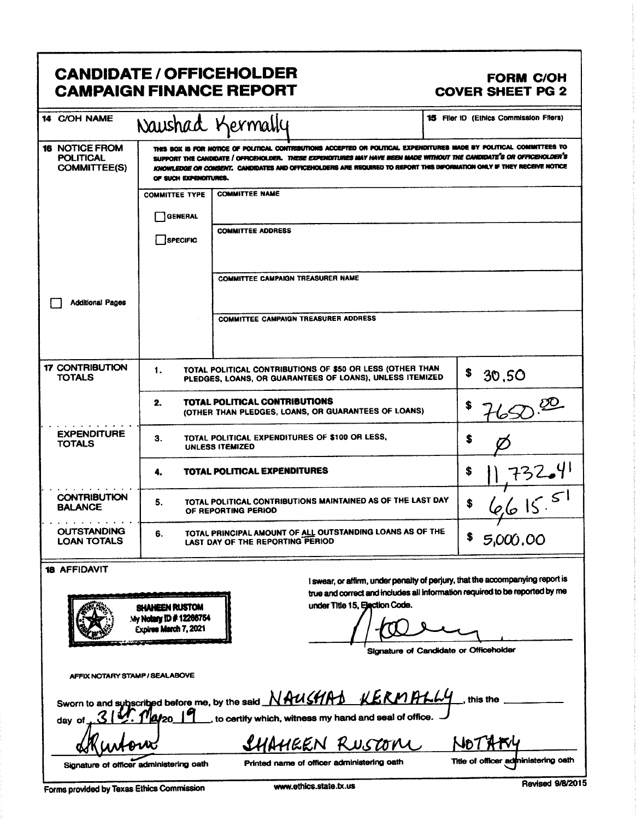|                                                                  |                                          | <b>CANDIDATE / OFFICEHOLDER</b><br><b>CAMPAIGN FINANCE REPORT</b>                                                                                                                                                                                                                                                                                                       | <b>FORM C/OH</b><br><b>COVER SHEET PG 2</b>                                                                                                                  |
|------------------------------------------------------------------|------------------------------------------|-------------------------------------------------------------------------------------------------------------------------------------------------------------------------------------------------------------------------------------------------------------------------------------------------------------------------------------------------------------------------|--------------------------------------------------------------------------------------------------------------------------------------------------------------|
| 14 C/OH NAME                                                     |                                          | Naushad Kermally                                                                                                                                                                                                                                                                                                                                                        | <b>15 Filer ID (Ethics Commission Filers)</b>                                                                                                                |
| <b>16 NOTICE FROM</b><br><b>POLITICAL</b><br><b>COMMITTEE(S)</b> | OF SUCH EXPENDITURES.                    | THIS BOX IS FOR NOTICE OF POLITICAL CONTRIBUTIONS ACCEPTED OR POLITICAL EXPENDITURES MADE BY POLITICAL COMMITTEES TO<br>SUPPORT THE CANDIDATE / OFFICEHOLDER. THESE EXPENDITURES MAY HAVE BEEN MADE WITHOUT THE CANDIDATE'S OR OFFICEHOLDER'S<br>KNOWLEDGE OR CONSENT. CANDIDATES AND OFFICENOLDERS ARE REQUIRED TO REPORT THIS DIFORMATION ONLY IF THEY RECEIVE NOTICE |                                                                                                                                                              |
|                                                                  | <b>COMMITTEE TYPE</b>                    | <b>COMMITTEE NAME</b>                                                                                                                                                                                                                                                                                                                                                   |                                                                                                                                                              |
|                                                                  | GENERAL                                  |                                                                                                                                                                                                                                                                                                                                                                         |                                                                                                                                                              |
|                                                                  | SPECIFIC                                 | <b>COMMITTEE ADDRESS</b>                                                                                                                                                                                                                                                                                                                                                |                                                                                                                                                              |
|                                                                  |                                          | <b>COMMITTEE CAMPAIGN TREASURER NAME</b>                                                                                                                                                                                                                                                                                                                                |                                                                                                                                                              |
| <b>Additional Pages</b>                                          |                                          |                                                                                                                                                                                                                                                                                                                                                                         |                                                                                                                                                              |
|                                                                  |                                          | <b>COMMITTEE CAMPAIGN TREASURER ADDRESS</b>                                                                                                                                                                                                                                                                                                                             |                                                                                                                                                              |
| <b>17 CONTRIBUTION</b><br><b>TOTALS</b>                          | 1.                                       | TOTAL POLITICAL CONTRIBUTIONS OF \$50 OR LESS (OTHER THAN<br>PLEDGES, LOANS, OR GUARANTEES OF LOANS), UNLESS ITEMIZED                                                                                                                                                                                                                                                   | \$<br>30,50                                                                                                                                                  |
|                                                                  | 2.                                       | TOTAL POLITICAL CONTRIBUTIONS<br>(OTHER THAN PLEDGES, LOANS, OR GUARANTEES OF LOANS)                                                                                                                                                                                                                                                                                    |                                                                                                                                                              |
| <b>EXPENDITURE</b><br><b>TOTALS</b>                              | 3.                                       | TOTAL POLITICAL EXPENDITURES OF \$100 OR LESS,<br>UNLESS ITEMIZED                                                                                                                                                                                                                                                                                                       | \$                                                                                                                                                           |
|                                                                  | 4.                                       | <b>TOTAL POLITICAL EXPENDITURES</b>                                                                                                                                                                                                                                                                                                                                     | \$                                                                                                                                                           |
| <b>CONTRIBUTION</b><br><b>BALANCE</b>                            | 5.                                       | TOTAL POLITICAL CONTRIBUTIONS MAINTAINED AS OF THE LAST DAY<br>OF REPORTING PERIOD                                                                                                                                                                                                                                                                                      | $\frac{11732641}{66155}$<br>\$                                                                                                                               |
| <b>OUTSTANDING</b><br><b>LOAN TOTALS</b>                         | 6.                                       | TOTAL PRINCIPAL AMOUNT OF ALL OUTSTANDING LOANS AS OF THE<br>LAST DAY OF THE REPORTING PERIOD                                                                                                                                                                                                                                                                           | \$<br>5,000,00                                                                                                                                               |
| <b>18 AFFIDAVIT</b>                                              | SHAHEEN RUSTOM<br>My Notary ID #12266754 | under Title 15, Ejaction Code.                                                                                                                                                                                                                                                                                                                                          | I swear, or affirm, under penalty of perjury, that the accompanying report is<br>true and correct and includes all information required to be reported by me |

Signature of Candidate or Officeholder

AFFIX NOTARY STAMP / SEALABOVE

Expires March 7, 2021

| Sworn to and subscribed before me, by the said $NAMSHAD$ $KRMPLMy$ , this the |                |        |
|-------------------------------------------------------------------------------|----------------|--------|
| Skurtour                                                                      | SHAHEEN RUSTON | NOTAKY |

akuroux

Signature of officer administering oath

Printed name of officer administering oath

Forms provided by Texas Ethics Commission

Revised 9/8/2015

Title of officer administering oath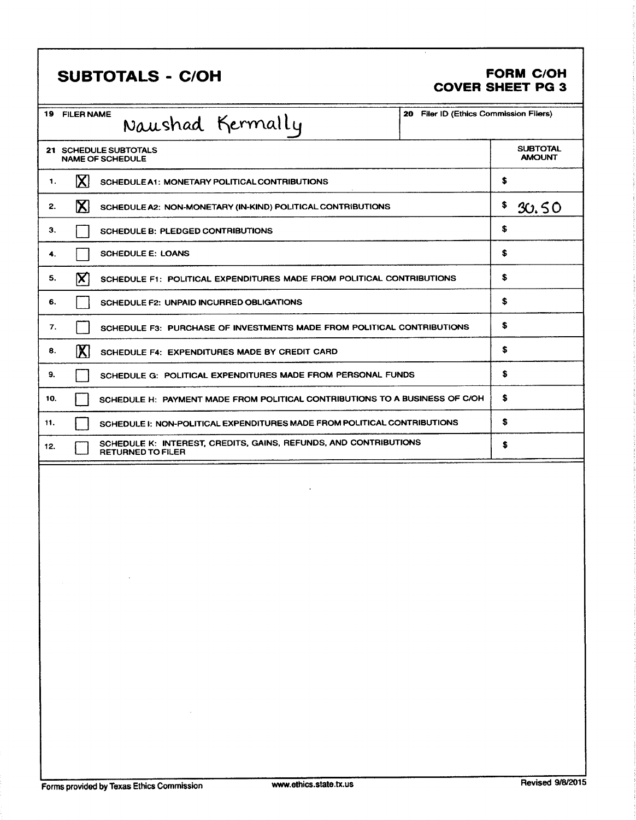### SUBTOTALS - C/OH FORM C/OH

## COVER SHEET PG 3

|     | <b>19 FILER NAME</b> | Naushad Kermally                                                                             | 20 Filer ID (Ethics Commission Filers) |                                  |
|-----|----------------------|----------------------------------------------------------------------------------------------|----------------------------------------|----------------------------------|
|     |                      | 21 SCHEDULE SUBTOTALS<br><b>NAME OF SCHEDULE</b>                                             |                                        | <b>SUBTOTAL</b><br><b>AMOUNT</b> |
| 1.  | $\mathbf{X}$         | SCHEDULE A1: MONETARY POLITICAL CONTRIBUTIONS                                                |                                        | \$                               |
| 2.  | $\mathbf{Z}$         | SCHEDULE A2: NON-MONETARY (IN-KIND) POLITICAL CONTRIBUTIONS                                  |                                        | \$<br>30.50                      |
| З.  |                      | SCHEDULE B: PLEDGED CONTRIBUTIONS                                                            |                                        | \$                               |
| 4.  |                      | <b>SCHEDULE E: LOANS</b>                                                                     |                                        | \$                               |
| 5.  | ΙX                   | SCHEDULE F1: POLITICAL EXPENDITURES MADE FROM POLITICAL CONTRIBUTIONS                        |                                        | \$                               |
| 6.  |                      | <b>SCHEDULE F2: UNPAID INCURRED OBLIGATIONS</b>                                              |                                        | \$                               |
| 7.  |                      | SCHEDULE F3: PURCHASE OF INVESTMENTS MADE FROM POLITICAL CONTRIBUTIONS                       |                                        | \$                               |
| 8.  | $\mathbb{X}$         | SCHEDULE F4: EXPENDITURES MADE BY CREDIT CARD                                                |                                        | \$                               |
| 9.  |                      | SCHEDULE G: POLITICAL EXPENDITURES MADE FROM PERSONAL FUNDS                                  |                                        | \$                               |
| 10. |                      | SCHEDULE H: PAYMENT MADE FROM POLITICAL CONTRIBUTIONS TO A BUSINESS OF C/OH                  |                                        | \$                               |
| 11. |                      | SCHEDULE I: NON-POLITICAL EXPENDITURES MADE FROM POLITICAL CONTRIBUTIONS                     |                                        | \$                               |
| 12. |                      | SCHEDULE K: INTEREST, CREDITS, GAINS, REFUNDS, AND CONTRIBUTIONS<br><b>RETURNED TO FILER</b> |                                        | \$                               |
|     |                      |                                                                                              |                                        |                                  |
|     |                      |                                                                                              |                                        |                                  |
|     |                      |                                                                                              |                                        |                                  |
|     |                      |                                                                                              |                                        |                                  |
|     |                      |                                                                                              |                                        |                                  |
|     |                      |                                                                                              |                                        |                                  |
|     |                      |                                                                                              |                                        |                                  |
|     |                      |                                                                                              |                                        |                                  |
|     |                      |                                                                                              |                                        |                                  |
|     |                      |                                                                                              |                                        |                                  |
|     |                      |                                                                                              |                                        |                                  |
|     |                      |                                                                                              |                                        |                                  |
|     |                      |                                                                                              |                                        |                                  |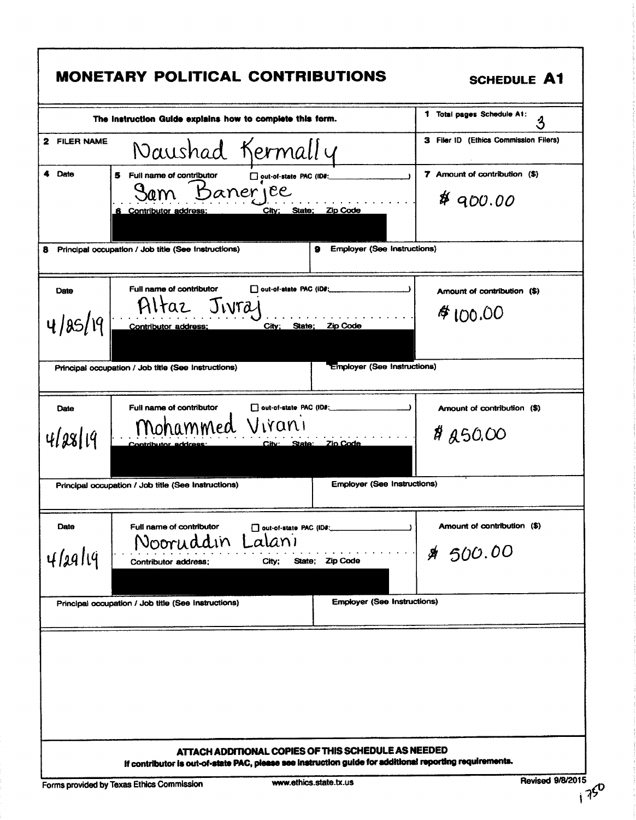|                   | The Instruction Guide explains how to complete this form.                                                                         | 1 Total pages Schedule A1:<br>3                        |
|-------------------|-----------------------------------------------------------------------------------------------------------------------------------|--------------------------------------------------------|
| 2 FILER NAME      | Naushad Kermally                                                                                                                  | 3 Filer ID (Ethics Commission Filers)                  |
| 4 Date            | Full name of contributor<br>5<br>out-of-state PAC (ID#:<br>Sam Banerjee<br>City; State; Zip Code<br>6 Contributor address:        | 7 Amount of contribution (\$)<br>$*$ 900.00            |
|                   | Principal occupation / Job title (See Instructions)<br>я                                                                          | <b>Employer (See Instructions)</b>                     |
| Date<br>4/85/19   | Full name of contributor<br>D out-of-state PAC (IDF:<br>Jivra<br>HItaz<br>City; State;<br>Contributor address;<br><b>Zip Code</b> | Amount of contribution (\$)<br>#100.00                 |
|                   | Principal occupation / Job title (See Instructions)                                                                               | <b>Employer (See Instructions)</b>                     |
| Date<br>4128119   | Full name of contributor<br>out-of-state PAC (ID#:<br>Mohammed Virani<br>City: State: Zio Code<br>Contributor address             | Amount of contribution (\$)<br><b>#</b> <i>A</i> 50.00 |
|                   | Principal occupation / Job title (See Instructions)                                                                               | <b>Employer (See Instructions)</b>                     |
| Date<br>$4/a$ llq | Full name of contributor<br>out-of-state PAC (ID#:<br>Lalani<br>Nooruddin<br>State: Zip Code<br>Contributor address;<br>City;     | Amount of contribution (\$)<br>\$ 500.00               |
|                   | Principal occupation / Job title (See Instructions)                                                                               | <b>Employer (See Instructions)</b>                     |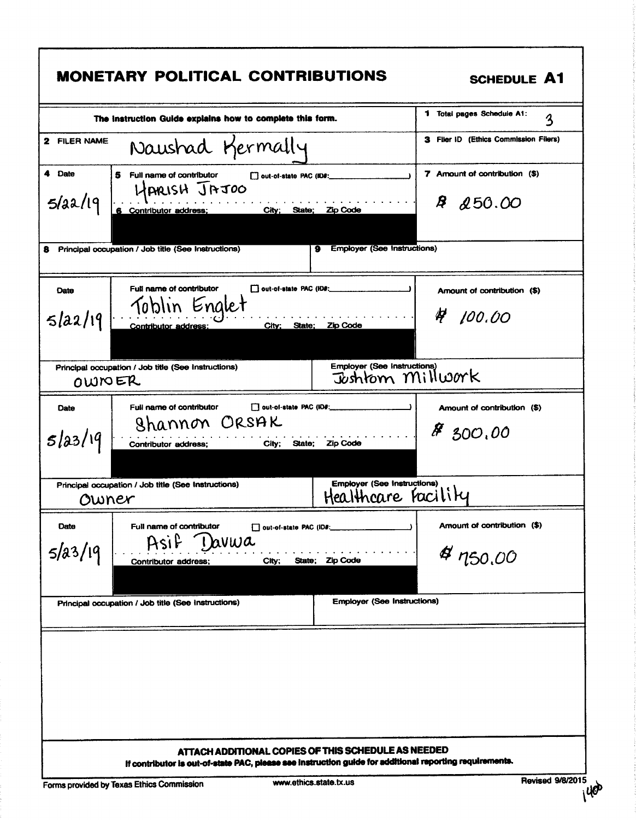|                   | <b>MONETARY POLITICAL CONTRIBUTIONS</b>                                                                                                                              | <b>SCHEDULE A1</b>                                  |
|-------------------|----------------------------------------------------------------------------------------------------------------------------------------------------------------------|-----------------------------------------------------|
|                   | The instruction Guide explains how to complete this form.                                                                                                            | 1 Total pages Schedule A1:<br>3                     |
| 2 FILER NAME      | Naushad Kermally                                                                                                                                                     | 3 Filer ID (Ethics Commission Filers)               |
| 4 Date<br>5/22/19 | Full name of contributor<br>5.<br>out-of-state PAC (ID#:<br>HARISH JAJOO<br>6 Contributor address; City; State; Zip Code                                             | 7 Amount of contribution (\$)<br>Ŗ<br><b>250.00</b> |
| 8.                | <b>Employer (See Instructions)</b><br>Principal occupation / Job title (See Instructions)<br>9                                                                       |                                                     |
| Date<br>5 a2 19   | Full name of contributor<br>out-of-state PAC (ID#:<br>Toblin Englet<br>City: State; Zip Code<br><b>Contributor address:</b>                                          | Amount of contribution (\$)<br>4<br>100.00          |
| OWNER             | <b>Employer (See Instructions)</b><br>Principal occupation / Job title (See Instructions)<br>Joshtom Millwork                                                        |                                                     |
| Date<br>5/23/19   | Full name of contributor<br>out-of-state PAC (ID#:<br>Shannon ORSAK<br>Contributor address;<br>City; State; Zip Code                                                 | Amount of contribution (\$)<br>88,000,00            |
| Owner             | <b>Employer (See Instructions)</b><br>Principal occupation / Job title (See Instructions)<br>Healthcare Facility                                                     |                                                     |
| Date<br>5/23/19   | Full name of contributor<br>out-of-state PAC (ID#:<br>1 avwa<br>Asif<br>State; Zip Code<br>City;<br>Contributor address;                                             | Amount of contribution (\$)<br>4750,00              |
|                   | <b>Employer (See Instructions)</b><br>Principal occupation / Job title (See Instructions)                                                                            |                                                     |
|                   | ATTACH ADDITIONAL COPIES OF THIS SCHEDULE AS NEEDED                                                                                                                  |                                                     |
|                   | If contributor is out-of-state PAC, please see instruction guide for additional reporting requirements.<br>www.ethics.state.tx.us<br>idad bu Tayan Ething Commission | <b>Revised 9/8/2015</b>                             |

Forms provided by Texas Ethics Commission

f

٦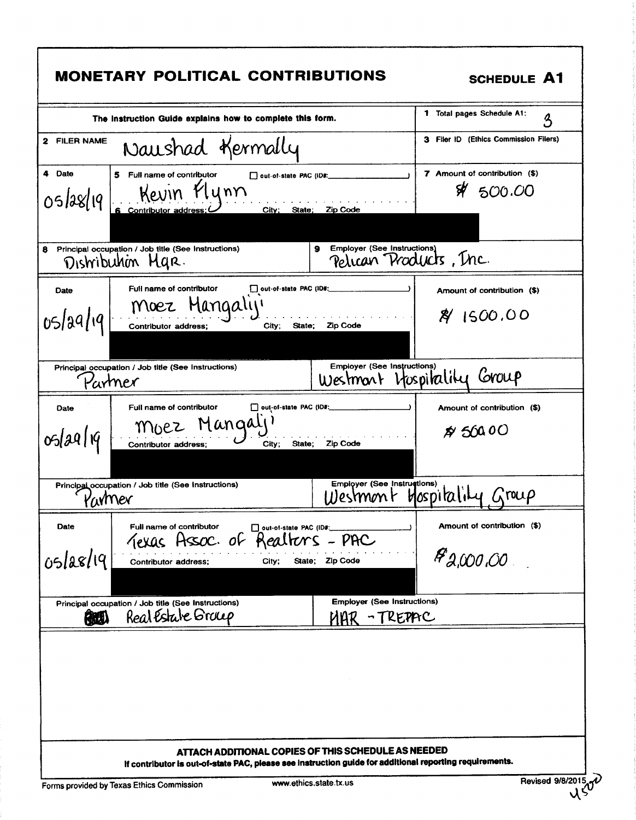|                     | <b>MONETARY POLITICAL CONTRIBUTIONS</b>                                                                                                    | <b>SCHEDULE A1</b>                                   |
|---------------------|--------------------------------------------------------------------------------------------------------------------------------------------|------------------------------------------------------|
|                     | The Instruction Guide explains how to complete this form.                                                                                  | 1 Total pages Schedule A1:<br>3                      |
| 2 FILER NAME        | Naushad Kermally                                                                                                                           | 3 Filer ID (Ethics Commission Filers)                |
| 4 Date<br>05/28/19  | 5 Full name of contributor<br>out-of-state PAC (ID#:<br>Kevin Plynn<br>Contributor a<br>City; State; Zip Code                              | 7 Amount of contribution (\$)<br>\$4500.00           |
| 8                   | <b>Employer (See Instructions)</b><br>Principal occupation / Job title (See Instructions)<br>9<br>Distribution Mar.                        | Pelican Products, Inc.                               |
| Date<br>05/29/19    | Full name of contributor<br>out-of-state PAC (ID#:<br>Moez Mangaly<br>Contributor address;<br>State; Zip Code<br>City;                     | Amount of contribution (\$)<br>891500.00             |
| Partner             | Employer (See Instructions)<br>Principal occupation / Job title (See Instructions)<br>Westmart Itospitality                                | Group                                                |
| Date<br>05/29/19    | Full name of contributor<br>out-of-state PAC (ID#:<br>Moez Mangaly<br>Contributor address;<br>City;<br>State:<br><b>Zip Code</b>           | Amount of contribution (\$)<br>$\cancel{p}$ 500 00   |
| wmer                | <b>Employer (See Instructions)</b><br>Principal occupation / Job title (See Instructions)                                                  | Hospitality Group                                    |
| Date<br>$05$ laslıq | Full name of contributor<br>□ out-of-state PAC (ID#:<br>Texas Assoc. of Realters - PAC<br>State; Zip Code<br>Contributor address;<br>City; | Amount of contribution (\$)<br><b>&amp; 2,000,00</b> |
| 做儿                  | <b>Employer (See Instructions)</b><br>Principal occupation / Job title (See Instructions)<br>Real Estate Group<br>NAR                      | REPAC                                                |
|                     | ATTACH ADDITIONAL COPIES OF THIS SCHEDULE AS NEEDED                                                                                        |                                                      |
|                     | If contributor is out-of-state PAC, please see instruction guide for additional reporting requirements.                                    | Revised 9/8/2015                                     |

J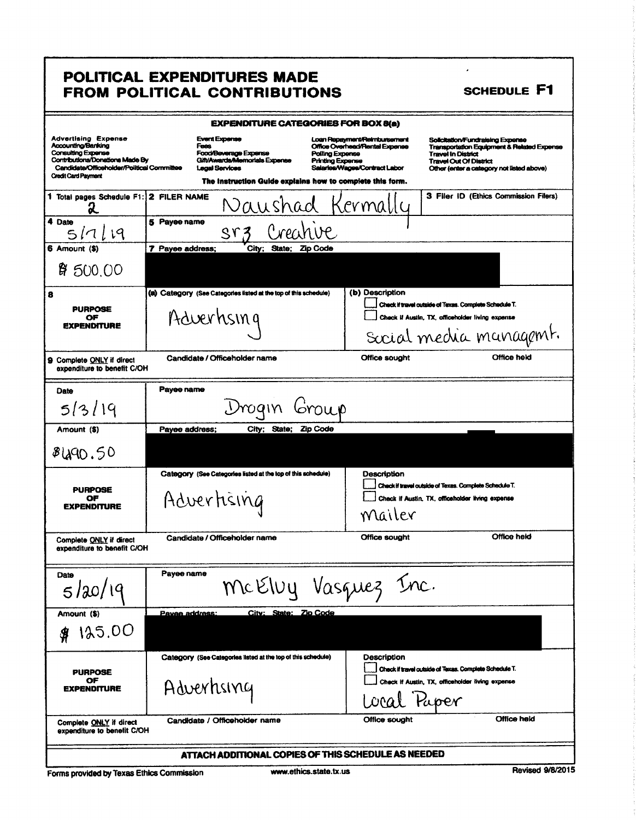# POLITICAL EXPENDITURES MADE<br>FROM POLITICAL CONTRIBUTIONS

| <b>SCHEDULE F1</b> |  |  |
|--------------------|--|--|
|--------------------|--|--|

 $\overline{a}$ 

| <b>Advertising Expense</b><br><b>Accounting/Banking</b><br>Consulting Expense<br>Contributions/Donations Made By<br>Candidate/Officeholder/Political Committee<br><b>Credit Card Payment</b> | <b>EXPENDITURE CATEGORIES FOR BOX 8(a)</b><br><b>Event Expense</b><br>Fees<br><b>Food/Beverage Expense</b><br><b>Polling Expense</b><br>Gift/Awards/Memorlals Expense<br><b>Printing Expense</b><br><b>Legal Services</b><br>The instruction Guide explains how to complete this form. | Loan Repayment/Reindunsement<br>Solicitation/Fundraising Expense<br>Office Overhead/Rental Expense<br><b>Transportation Equipment &amp; Related Expense</b><br><b>Travel In District</b><br><b>Travel Out Of District</b><br>Salaries/Wages/Contract Labor<br>Other (enter a category not listed above) |  |  |
|----------------------------------------------------------------------------------------------------------------------------------------------------------------------------------------------|----------------------------------------------------------------------------------------------------------------------------------------------------------------------------------------------------------------------------------------------------------------------------------------|---------------------------------------------------------------------------------------------------------------------------------------------------------------------------------------------------------------------------------------------------------------------------------------------------------|--|--|
| 1 Total pages Schedule F1:<br>X                                                                                                                                                              | 2 FILER NAME<br>Naushad Kermally                                                                                                                                                                                                                                                       | 3 Filer ID (Ethics Commission Filers)                                                                                                                                                                                                                                                                   |  |  |
| 4 Date<br>5/7/19                                                                                                                                                                             | 5 Payee name<br>Creanve<br>ST3                                                                                                                                                                                                                                                         |                                                                                                                                                                                                                                                                                                         |  |  |
| 6 Amount (\$)<br>4500,00                                                                                                                                                                     | 7 Payee address:<br>City;<br>State; Zip Code                                                                                                                                                                                                                                           |                                                                                                                                                                                                                                                                                                         |  |  |
| 8<br><b>PURPOSE</b><br>ОF<br><b>EXPENDITURE</b>                                                                                                                                              | (a) Category (See Categories listed at the top of this schedule)<br>Adverhsing                                                                                                                                                                                                         | (b) Description<br>Check if travel outside of Texas. Complete Schedule T.<br>Check if Austin, TX, officeholder living expense<br>Social media managemt.                                                                                                                                                 |  |  |
| 9 Complete ONLY if direct<br>expenditure to benefit C/OH                                                                                                                                     | Candidate / Officeholder name                                                                                                                                                                                                                                                          | Office held<br>Office sought                                                                                                                                                                                                                                                                            |  |  |
| Date<br>5/3/19                                                                                                                                                                               | Payee name<br>Urogin<br>Group                                                                                                                                                                                                                                                          |                                                                                                                                                                                                                                                                                                         |  |  |
| Amount (\$)<br>8490.50                                                                                                                                                                       | City; State; Zip Code<br>Payee address;                                                                                                                                                                                                                                                |                                                                                                                                                                                                                                                                                                         |  |  |
| <b>PURPOSE</b><br>ОF<br><b>EXPENDITURE</b>                                                                                                                                                   | Category (See Categories listed at the top of this schedule)<br>Advertising                                                                                                                                                                                                            | Description<br>Check if travel outside of Texas. Complete Schedule T.<br>Check if Austin, TX, officeholder living expense<br>Mailer                                                                                                                                                                     |  |  |
| Complete ONLY if direct<br>expenditure to benefit C/OH                                                                                                                                       | Candidate / Officeholder name                                                                                                                                                                                                                                                          | Office held<br>Office sought                                                                                                                                                                                                                                                                            |  |  |
| Date<br>5/20/19                                                                                                                                                                              | Payee name<br>McElvy Vasquez Inc.                                                                                                                                                                                                                                                      |                                                                                                                                                                                                                                                                                                         |  |  |
| Amount (\$)<br>125.00                                                                                                                                                                        | City: State: Zio Code<br>Payee address:                                                                                                                                                                                                                                                |                                                                                                                                                                                                                                                                                                         |  |  |
| <b>PURPOSE</b><br>OF<br><b>EXPENDITURE</b>                                                                                                                                                   | Category (See Categories listed at the top of this schedule)<br>Adverhsing                                                                                                                                                                                                             | <b>Description</b><br>Check if travel outside of Texas. Complete Schedule T.<br>Check if Austin, TX, officeholder living expense<br>Local Paper                                                                                                                                                         |  |  |
| Complete ONLY if direct<br>expenditure to benefit C/OH                                                                                                                                       | Candidate / Officeholder name                                                                                                                                                                                                                                                          | Office held<br>Office sought                                                                                                                                                                                                                                                                            |  |  |
| ATTACH ADDITIONAL COPIES OF THIS SCHEDULE AS NEEDED                                                                                                                                          |                                                                                                                                                                                                                                                                                        |                                                                                                                                                                                                                                                                                                         |  |  |

Forms provided by Texas Ethics Commission

Revised 9/8/2015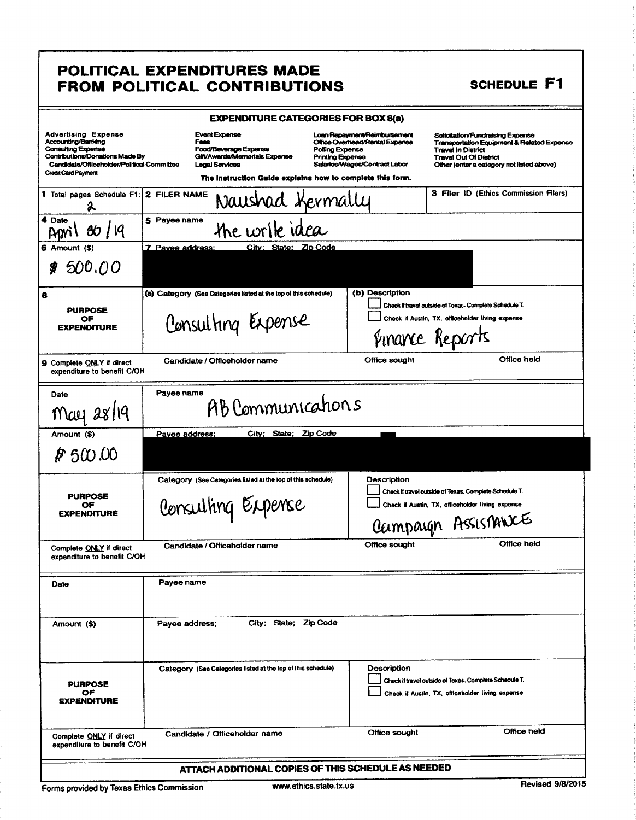#### POLITICAL EXPENDITURES MADE FROM POLITICAL CONTRIBUTIONS

#### SCHEDULE F1

| <b>EXPENDITURE CATEGORIES FOR BOX 8(a)</b>                                                                                                                                            |                                                                                        |                                                                                            |                                                                                                                                               |                                                                                                                                                                                           |
|---------------------------------------------------------------------------------------------------------------------------------------------------------------------------------------|----------------------------------------------------------------------------------------|--------------------------------------------------------------------------------------------|-----------------------------------------------------------------------------------------------------------------------------------------------|-------------------------------------------------------------------------------------------------------------------------------------------------------------------------------------------|
| <b>Advertising Expense</b><br>Accounting/Banking<br>Consulting Expense<br>Contributions/Donations Made By<br>Candidate/Officeholder/Political Committee<br><b>Credit Card Payment</b> | <b>Event Expanse</b><br>Fees<br>Food/Beverage Expense<br>Legal Services                | Gilt/Awards/Memorials Expense<br>The instruction Guide explains how to complete this form. | Loan Repayment/Reimbursement<br>Office Overhead/Rental Expense<br>Potling Expense<br><b>Printing Expense</b><br>Salaries/Wages/Contract Labor | Solicitation/Fundraising Expense<br>Transportation Equipment & Related Expense<br><b>Travel In District</b><br><b>Travel Out Of District</b><br>Other (enter a category not listed above) |
| 1 Total pages Schedule F1:<br>г.                                                                                                                                                      | 2 FILER NAME                                                                           | Naushad Kermally                                                                           |                                                                                                                                               | 3 Filer ID (Ethics Commission Filers)                                                                                                                                                     |
| 4 Date<br>80/19                                                                                                                                                                       | 5 Pavee name                                                                           | the write idea                                                                             |                                                                                                                                               |                                                                                                                                                                                           |
| 6 Amount (\$)<br>500.00<br>81                                                                                                                                                         | 7 Pavee address:                                                                       | City: State: Zip Code                                                                      |                                                                                                                                               |                                                                                                                                                                                           |
|                                                                                                                                                                                       |                                                                                        |                                                                                            |                                                                                                                                               |                                                                                                                                                                                           |
| 8<br><b>PURPOSE</b><br>ОF<br><b>EXPENDITURE</b>                                                                                                                                       | (a) Category (See Categories listed at the top of this schedule)<br>Consulting Expense |                                                                                            | (b) Description                                                                                                                               | Check if travel outside of Texas. Complete Schedule T.<br>Check if Austin, TX, officeholder living expense<br>Finance Reports                                                             |
| <b>9</b> Complete <u>ONLY</u> if direct<br>expenditure to benefit C/OH                                                                                                                | Candidate / Officeholder name                                                          |                                                                                            | Office sought                                                                                                                                 | Office held                                                                                                                                                                               |
| Date<br>$Mau$ $ax119$                                                                                                                                                                 | Payee name                                                                             | AB Communications                                                                          |                                                                                                                                               |                                                                                                                                                                                           |
| Amount (\$)                                                                                                                                                                           | Pavee address:                                                                         | City; State; Zip Code                                                                      |                                                                                                                                               |                                                                                                                                                                                           |
| P 500.00                                                                                                                                                                              |                                                                                        |                                                                                            |                                                                                                                                               |                                                                                                                                                                                           |
| <b>PURPOSE</b><br>ОF<br><b>EXPENDITURE</b>                                                                                                                                            | Consulting Expense                                                                     | Category (See Categories listed at the top of this schedule)                               | Description                                                                                                                                   | Check if travel outside of Texas. Complete Schedule T.<br>Check if Austin, TX, officeholder living expense<br>Campaign Assistances                                                        |
| Complete ONLY if direct<br>expenditure to benefit C/OH                                                                                                                                | Candidate / Officeholder name                                                          |                                                                                            | Office sought                                                                                                                                 | Office held                                                                                                                                                                               |
| Date                                                                                                                                                                                  | Payee name                                                                             |                                                                                            |                                                                                                                                               |                                                                                                                                                                                           |
| Amount (\$)                                                                                                                                                                           | Payee address;                                                                         | City; State; Zip Code                                                                      |                                                                                                                                               |                                                                                                                                                                                           |
| <b>PURPOSE</b><br>ОF<br><b>EXPENDITURE</b>                                                                                                                                            |                                                                                        | Category (See Categories listed at the top of this schedule)                               | <b>Description</b>                                                                                                                            | Check if travel outside of Texas. Complete Schedule T.<br>Check if Austin, TX, officeholder living expense                                                                                |
| Complete ONLY if direct<br>expenditure to benefit C/OH                                                                                                                                | Candidate / Officeholder name                                                          |                                                                                            | Office sought                                                                                                                                 | Office held                                                                                                                                                                               |
| ATTACH ADDITIONAL COPIES OF THIS SCHEDULE AS NEEDED                                                                                                                                   |                                                                                        |                                                                                            |                                                                                                                                               |                                                                                                                                                                                           |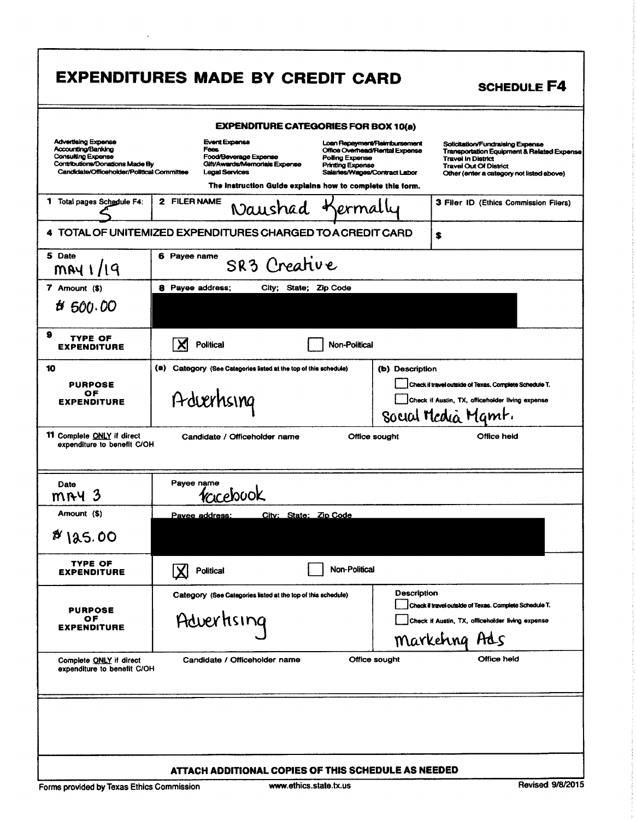|                                                                                                                                                                | <b>EXPENDITURES MADE BY CREDIT CARD</b>                                                                                                                                      |                                                                                                                                               | <b>SCHEDULE F4</b>                                                                                                                                                                        |
|----------------------------------------------------------------------------------------------------------------------------------------------------------------|------------------------------------------------------------------------------------------------------------------------------------------------------------------------------|-----------------------------------------------------------------------------------------------------------------------------------------------|-------------------------------------------------------------------------------------------------------------------------------------------------------------------------------------------|
|                                                                                                                                                                | <b>EXPENDITURE CATEGORIES FOR BOX 10(a)</b>                                                                                                                                  |                                                                                                                                               |                                                                                                                                                                                           |
| <b>Advertising Expense</b><br>Accounting/Banking<br><b>Consulting Expense</b><br>Contributions/Donations Made By<br>Candidate/Officeholder/Political Committee | <b>Event Expense</b><br>Fees<br>Food/Beverage Expense<br>Gift/Awards/Memorials Expense<br><b>Legal Services</b><br>The instruction Guide explains how to complete this form. | Loan Repayment/Reimbursement<br>Office Overhead/Rental Expense<br>Polling Expense<br><b>Printing Expense</b><br>Salaries/Wages/Contract Labor | Solicitation/Fundraising Expense<br>Transportation Equipment & Related Expense<br><b>Travel In District</b><br><b>Travel Out Of District</b><br>Other (enter a category not listed above) |
| 1.<br>Total pages Schedule F4:                                                                                                                                 | 2 FILER NAME<br>Naushad Kermally                                                                                                                                             |                                                                                                                                               | 3 Filer ID (Ethics Commission Filers)                                                                                                                                                     |
|                                                                                                                                                                | 4 TOTAL OF UNITEMIZED EXPENDITURES CHARGED TO A CREDIT CARD                                                                                                                  |                                                                                                                                               | \$                                                                                                                                                                                        |
| 5 Date<br>$m$ $N$ $1/19$                                                                                                                                       | 6 Payee name<br>SR3 Creative                                                                                                                                                 |                                                                                                                                               |                                                                                                                                                                                           |
| $7$ Amount $($)$<br>#500.00                                                                                                                                    | 8 Payee address;<br>City; State; Zip Code                                                                                                                                    |                                                                                                                                               |                                                                                                                                                                                           |
| 9<br><b>TYPE OF</b><br><b>EXPENDITURE</b>                                                                                                                      | <b>Political</b><br>X                                                                                                                                                        | <b>Non-Political</b>                                                                                                                          |                                                                                                                                                                                           |
| 10<br><b>PURPOSE</b><br>OF<br><b>EXPENDITURE</b>                                                                                                               | (a)<br>Category (See Categories listed at the top of this schedule)<br>Adverhsing                                                                                            | (b) Description                                                                                                                               | Check if travel outside of Texas. Complete Schedule T.<br>Check if Austin, TX, officeholder living expense<br>Social Media Mamt.                                                          |
| <b>11</b> Complete ONLY if direct<br>expenditure to benefit C/OH                                                                                               | Candidate / Officeholder name                                                                                                                                                | Office sought                                                                                                                                 | Office held                                                                                                                                                                               |
| Date<br>3<br>mny                                                                                                                                               | Payee name<br>1creb00K                                                                                                                                                       |                                                                                                                                               |                                                                                                                                                                                           |
| (\$) Amount                                                                                                                                                    | <u> Citv: State: Zip Code</u><br><u>Pavee address:</u>                                                                                                                       |                                                                                                                                               |                                                                                                                                                                                           |
| 8185.00                                                                                                                                                        |                                                                                                                                                                              |                                                                                                                                               |                                                                                                                                                                                           |
| TYPE OF<br>EXPENDITURE                                                                                                                                         | Political                                                                                                                                                                    | Non-Political                                                                                                                                 |                                                                                                                                                                                           |
| <b>PURPOSE</b><br>ОF<br><b>EXPENDITURE</b>                                                                                                                     | Category (See Categories listed at the top of this schedule)<br>Advertising                                                                                                  | <b>Description</b>                                                                                                                            | Check if travel outside of Texas. Complete Schedule T.<br>Check if Austin, TX, officeholder living expense<br>Markehng Ads                                                                |
| Complete ONLY if direct<br>expenditure to benefit C/OH                                                                                                         | Candidate / Officeholder name                                                                                                                                                | Office sought                                                                                                                                 | Office held                                                                                                                                                                               |
|                                                                                                                                                                |                                                                                                                                                                              |                                                                                                                                               |                                                                                                                                                                                           |
|                                                                                                                                                                | ATTACH ADDITIONAL COPIES OF THIS SCHEDULE AS NEEDED                                                                                                                          |                                                                                                                                               | Devised 0/0/0015                                                                                                                                                                          |

 $\epsilon$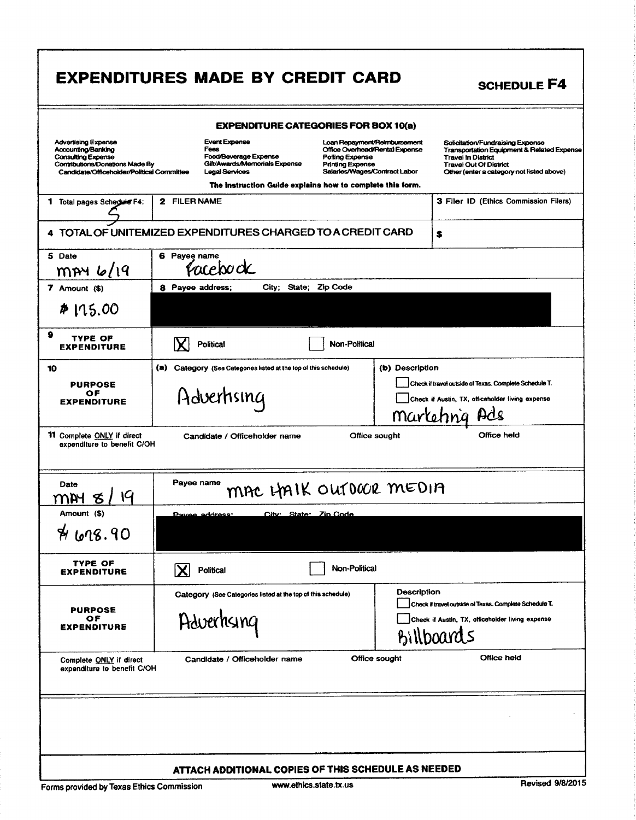|                                                                                                                                                         | <b>EXPENDITURES MADE BY CREDIT CARD</b>                                                                  |                                                                                                                                               | <b>SCHEDULE F4</b>                                                                                                                                                                                   |
|---------------------------------------------------------------------------------------------------------------------------------------------------------|----------------------------------------------------------------------------------------------------------|-----------------------------------------------------------------------------------------------------------------------------------------------|------------------------------------------------------------------------------------------------------------------------------------------------------------------------------------------------------|
|                                                                                                                                                         | <b>EXPENDITURE CATEGORIES FOR BOX 10(a)</b>                                                              |                                                                                                                                               |                                                                                                                                                                                                      |
| <b>Advertising Expense</b><br>Accounting/Banking<br>Consulting Expense<br>Contributions/Donations Made By<br>Candidate/Officeholder/Political Committee | Event Expense<br>Fees<br>Food/Beverage Expense<br>Gilt/Awards/Memorials Expense<br><b>Legal Services</b> | Loan Repayment/Reimbursement<br>Office Overhead/Rental Expense<br>Polling Expense<br><b>Printing Expense</b><br>Salaries/Wages/Contract Labor | Solicitation/Fundraising Expense<br><b>Transportation Equipment &amp; Related Expense</b><br><b>Travel In District</b><br><b>Travel Out Of District</b><br>Other (enter a category not listed above) |
| 1 Total pages Schedwie F4:                                                                                                                              | The instruction Guide explains how to complete this form.<br>2 FILER NAME                                |                                                                                                                                               | 3 Filer ID (Ethics Commission Filers)                                                                                                                                                                |
|                                                                                                                                                         |                                                                                                          |                                                                                                                                               |                                                                                                                                                                                                      |
|                                                                                                                                                         | 4 TOTAL OF UNITEMIZED EXPENDITURES CHARGED TO A CREDIT CARD                                              |                                                                                                                                               | \$                                                                                                                                                                                                   |
| 5 Date<br>$~m$ py 6/19                                                                                                                                  | 6 Payee name<br>facebook                                                                                 |                                                                                                                                               |                                                                                                                                                                                                      |
| $7$ Amount $(3)$                                                                                                                                        | City; State; Zip Code<br>8 Payee address:                                                                |                                                                                                                                               |                                                                                                                                                                                                      |
| $*115.00$                                                                                                                                               |                                                                                                          |                                                                                                                                               |                                                                                                                                                                                                      |
| 9<br>TYPE OF<br><b>EXPENDITURE</b>                                                                                                                      | <b>Political</b>                                                                                         | <b>Non-Political</b>                                                                                                                          |                                                                                                                                                                                                      |
| 10                                                                                                                                                      | $\left( \bullet \right)$<br>Category (See Categories listed at the top of this schedule)                 | (b) Description                                                                                                                               |                                                                                                                                                                                                      |
| <b>PURPOSE</b><br>ОF<br><b>EXPENDITURE</b>                                                                                                              | Adverhsing                                                                                               |                                                                                                                                               | Check if travel outside of Texas. Complete Schedule T.<br>Check if Austin, TX, officeholder living expense<br>Marleting Ads                                                                          |
| <b>11</b> Complete ONLY if direct<br>expenditure to benefit C/OH                                                                                        | Candidate / Officeholder name                                                                            | Office sought                                                                                                                                 | Office held                                                                                                                                                                                          |
| Date<br>19<br>W                                                                                                                                         | Payee name                                                                                               | MAC LAMIK OUTDOOR MEDIA                                                                                                                       |                                                                                                                                                                                                      |
| Amount (\$)                                                                                                                                             | City: State: Zin Code<br><u> Pavee address:</u>                                                          |                                                                                                                                               |                                                                                                                                                                                                      |
| A08.90                                                                                                                                                  |                                                                                                          |                                                                                                                                               |                                                                                                                                                                                                      |
| TYPE OF<br><b>EXPENDITURE</b>                                                                                                                           | <b>Political</b><br>IХ                                                                                   | Non-Political                                                                                                                                 |                                                                                                                                                                                                      |
| <b>PURPOSE</b><br>ОF<br><b>EXPENDITURE</b>                                                                                                              | Category (See Categories listed at the top of this schedule)<br>Adverhsing                               | <b>Description</b>                                                                                                                            | Check if travel outside of Texas. Complete Schedule T.<br>Check if Austin, TX, officeholder living expense<br>Billboards                                                                             |
| Complete ONLY if direct<br>expenditure to benefit C/OH                                                                                                  | Candidate / Officeholder name                                                                            | Office sought                                                                                                                                 | <b>Office held</b>                                                                                                                                                                                   |
|                                                                                                                                                         |                                                                                                          |                                                                                                                                               |                                                                                                                                                                                                      |
|                                                                                                                                                         | ATTACH ADDITIONAL COPIES OF THIS SCHEDULE AS NEEDED                                                      |                                                                                                                                               |                                                                                                                                                                                                      |
| Forms provided by Texas Ethics Commission                                                                                                               | www.ethics.state.tx.us                                                                                   |                                                                                                                                               | <b>Revised 9/8/2015</b>                                                                                                                                                                              |

f.

٦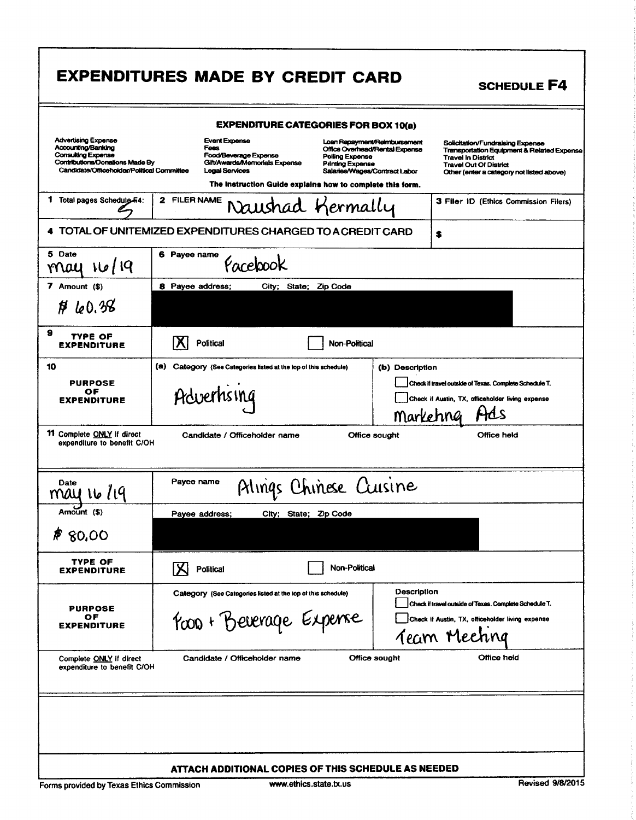|                                                                                                                                                                | <b>EXPENDITURES MADE BY CREDIT CARD</b>                                                                                                                                                                                    | <b>SCHEDULE F4</b>                                                                                                                                                                                                                                                                           |  |  |  |
|----------------------------------------------------------------------------------------------------------------------------------------------------------------|----------------------------------------------------------------------------------------------------------------------------------------------------------------------------------------------------------------------------|----------------------------------------------------------------------------------------------------------------------------------------------------------------------------------------------------------------------------------------------------------------------------------------------|--|--|--|
| <b>EXPENDITURE CATEGORIES FOR BOX 10(a)</b>                                                                                                                    |                                                                                                                                                                                                                            |                                                                                                                                                                                                                                                                                              |  |  |  |
| <b>Advertising Expense</b><br>Accounting/Banking<br><b>Consulting Expense</b><br>Contributions/Donations Made By<br>Candidate/Officeholder/Political Committee | <b>Event Expense</b><br>Fees<br>Food/Beverage Expense<br>Polling Expense<br>Gift/Awards/Memorials Expense<br><b>Printing Expense</b><br><b>Legal Services</b><br>The Instruction Guide explains how to complete this form. | Loan Repayment/Reimbursement<br>Solicitation/Fundraising Expense<br>Office Overhead/Rental Expense<br>Transportation Equipment & Related Expense<br><b>Travel In District</b><br><b>Travel Out Of District</b><br>Salaries/Wages/Contract Labor<br>Other (enter a category not listed above) |  |  |  |
| Total pages Schedulg F4:<br>1.                                                                                                                                 | 2 FILER NAME<br>Naushad Kermally                                                                                                                                                                                           | 3 Filer ID (Ethics Commission Filers)                                                                                                                                                                                                                                                        |  |  |  |
| 4 TOTAL OF UNITEMIZED EXPENDITURES CHARGED TO A CREDIT CARD                                                                                                    |                                                                                                                                                                                                                            |                                                                                                                                                                                                                                                                                              |  |  |  |
| 5 Date                                                                                                                                                         | 6 Payee name                                                                                                                                                                                                               | \$                                                                                                                                                                                                                                                                                           |  |  |  |
| 16/19<br>nrau                                                                                                                                                  | Facebook                                                                                                                                                                                                                   |                                                                                                                                                                                                                                                                                              |  |  |  |
| 7 Amount (\$)                                                                                                                                                  | 8 Payee address;<br>City; State; Zip Code                                                                                                                                                                                  |                                                                                                                                                                                                                                                                                              |  |  |  |
| \$40.38                                                                                                                                                        |                                                                                                                                                                                                                            |                                                                                                                                                                                                                                                                                              |  |  |  |
| 9<br>TYPE OF<br><b>EXPENDITURE</b>                                                                                                                             | Political<br>Non-Political                                                                                                                                                                                                 |                                                                                                                                                                                                                                                                                              |  |  |  |
| 10                                                                                                                                                             | (a)<br>Category (See Categories listed at the top of this schedule)                                                                                                                                                        | (b) Description                                                                                                                                                                                                                                                                              |  |  |  |
| <b>PURPOSE</b><br>ОF                                                                                                                                           | Advertising                                                                                                                                                                                                                | Check if travel outside of Texas. Complete Schedule T.                                                                                                                                                                                                                                       |  |  |  |
| <b>EXPENDITURE</b>                                                                                                                                             |                                                                                                                                                                                                                            | Check if Austin, TX, officeholder living expense<br>HAS<br>Marketing                                                                                                                                                                                                                         |  |  |  |
| 11 Complete ONLY if direct<br>Candidate / Officeholder name<br>Office sought<br>Office held<br>expenditure to benefit C/OH                                     |                                                                                                                                                                                                                            |                                                                                                                                                                                                                                                                                              |  |  |  |
| Date<br>14 ما 1<br>mau                                                                                                                                         | Payee name<br>Alings Chinese Cuisine                                                                                                                                                                                       |                                                                                                                                                                                                                                                                                              |  |  |  |
| Amount (\$)                                                                                                                                                    | Pavee address:<br>City; State; Zip Code                                                                                                                                                                                    |                                                                                                                                                                                                                                                                                              |  |  |  |
| 80,00                                                                                                                                                          |                                                                                                                                                                                                                            |                                                                                                                                                                                                                                                                                              |  |  |  |
| <b>TYPE OF</b><br><b>EXPENDITURE</b>                                                                                                                           | Non-Political<br>IXI<br><b>Political</b>                                                                                                                                                                                   |                                                                                                                                                                                                                                                                                              |  |  |  |
|                                                                                                                                                                | Category (See Categories listed at the top of this schedule)                                                                                                                                                               | Description<br>Check if travel outside of Texas. Complete Schedule T.                                                                                                                                                                                                                        |  |  |  |
| <b>PURPOSE</b><br>OF<br><b>EXPENDITURE</b>                                                                                                                     | Poon + Beverage Expense                                                                                                                                                                                                    | Check if Austin, TX, officeholder living expense                                                                                                                                                                                                                                             |  |  |  |
|                                                                                                                                                                |                                                                                                                                                                                                                            | Team Meeting                                                                                                                                                                                                                                                                                 |  |  |  |
| Complete ONLY if direct<br>expenditure to benefit C/OH                                                                                                         | Candidate / Officeholder name                                                                                                                                                                                              | Office held<br>Office sought                                                                                                                                                                                                                                                                 |  |  |  |
|                                                                                                                                                                |                                                                                                                                                                                                                            |                                                                                                                                                                                                                                                                                              |  |  |  |
|                                                                                                                                                                |                                                                                                                                                                                                                            |                                                                                                                                                                                                                                                                                              |  |  |  |
|                                                                                                                                                                |                                                                                                                                                                                                                            |                                                                                                                                                                                                                                                                                              |  |  |  |
|                                                                                                                                                                | ATTACH ADDITIONAL COPIES OF THIS SCHEDULE AS NEEDED                                                                                                                                                                        |                                                                                                                                                                                                                                                                                              |  |  |  |
| <b>Revised 9/8/2015</b><br>www.ethics.state.tx.us<br>Forms provided by Texas Ethics Commission                                                                 |                                                                                                                                                                                                                            |                                                                                                                                                                                                                                                                                              |  |  |  |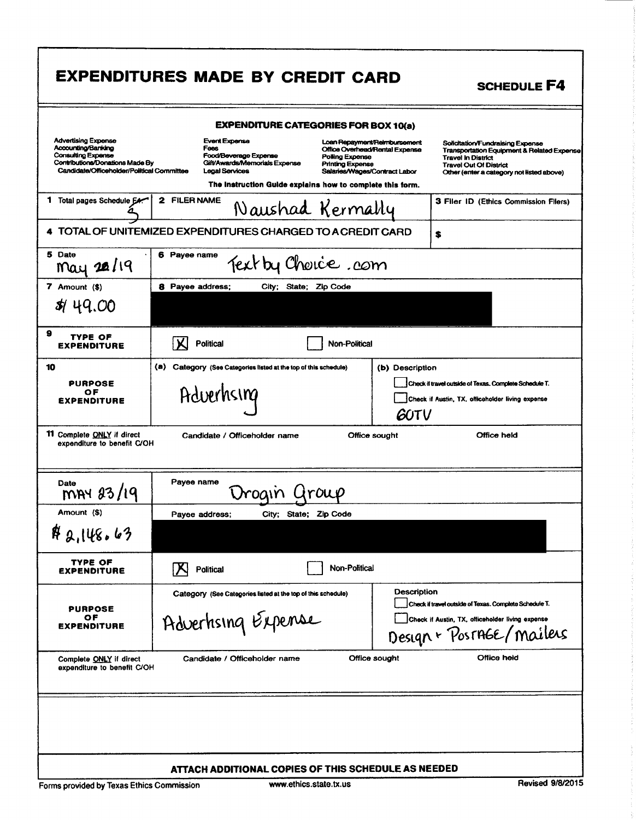|                                                                                                                                                                | <b>EXPENDITURES MADE BY CREDIT CARD</b>                                                                                                                                      |                                                                                                                                               | <b>SCHEDULE F4</b>                                                                                                                                                                        |  |  |
|----------------------------------------------------------------------------------------------------------------------------------------------------------------|------------------------------------------------------------------------------------------------------------------------------------------------------------------------------|-----------------------------------------------------------------------------------------------------------------------------------------------|-------------------------------------------------------------------------------------------------------------------------------------------------------------------------------------------|--|--|
| <b>EXPENDITURE CATEGORIES FOR BOX 10(a)</b>                                                                                                                    |                                                                                                                                                                              |                                                                                                                                               |                                                                                                                                                                                           |  |  |
| <b>Advertising Expense</b><br>Accounting/Banking<br><b>Consulting Expense</b><br>Contributions/Donations Made By<br>Candidate/Officeholder/Political Committee | <b>Event Expense</b><br>Fees<br>Food/Beverage Expense<br>Gift/Awards/Memorials Expense<br><b>Leaal Services</b><br>The instruction Guide explains how to complete this form. | Loan Repayment/Reimbursement<br>Office Overhead/Rental Expense<br>Polling Expense<br><b>Printing Expense</b><br>Salaries/Wages/Contract Labor | Solicitation/Fundraising Expense<br>Transportation Equipment & Related Expense<br><b>Travel In District</b><br><b>Travel Out Of District</b><br>Other (enter a category not listed above) |  |  |
| 1 Total pages Schedule EA                                                                                                                                      | 2 FILER NAME<br>Naushad Kermally                                                                                                                                             |                                                                                                                                               | 3 Filer ID (Ethics Commission Filers)                                                                                                                                                     |  |  |
| 4 TOTAL OF UNITEMIZED EXPENDITURES CHARGED TO A CREDIT CARD<br>\$                                                                                              |                                                                                                                                                                              |                                                                                                                                               |                                                                                                                                                                                           |  |  |
| 5 Date<br>May 20/19                                                                                                                                            | 6 Payee name<br>Text by Choice.com                                                                                                                                           |                                                                                                                                               |                                                                                                                                                                                           |  |  |
| 7 Amount (\$)                                                                                                                                                  | 8 Payee address;<br>City; State; Zip Code                                                                                                                                    |                                                                                                                                               |                                                                                                                                                                                           |  |  |
| \$44.00                                                                                                                                                        |                                                                                                                                                                              |                                                                                                                                               |                                                                                                                                                                                           |  |  |
| 9<br>TYPE OF<br><b>EXPENDITURE</b>                                                                                                                             | <b>Political</b>                                                                                                                                                             | <b>Non-Political</b>                                                                                                                          |                                                                                                                                                                                           |  |  |
| 10                                                                                                                                                             | (a)<br>Category (See Categories listed at the top of this schedule)                                                                                                          | (b) Description                                                                                                                               |                                                                                                                                                                                           |  |  |
| <b>PURPOSE</b><br>ОF                                                                                                                                           |                                                                                                                                                                              |                                                                                                                                               | Check if travel outside of Texas. Complete Schedule T.                                                                                                                                    |  |  |
| <b>EXPENDITURE</b>                                                                                                                                             | Adverhang                                                                                                                                                                    | <b>GUTV</b>                                                                                                                                   | Check if Austin, TX, officeholder living expense                                                                                                                                          |  |  |
| 11 Complete ONLY if direct<br>Office held<br>Candidate / Officeholder name<br>Office sought<br>expenditure to benefit C/OH                                     |                                                                                                                                                                              |                                                                                                                                               |                                                                                                                                                                                           |  |  |
| Date<br>MAY 23/19                                                                                                                                              | Payee name<br>roain                                                                                                                                                          | roue                                                                                                                                          |                                                                                                                                                                                           |  |  |
| Amount (\$)                                                                                                                                                    | City; State; Zip Code<br>Payee address;                                                                                                                                      |                                                                                                                                               |                                                                                                                                                                                           |  |  |
| $R_{2,1}$ 48.63                                                                                                                                                |                                                                                                                                                                              |                                                                                                                                               |                                                                                                                                                                                           |  |  |
| TYPE OF<br>EXPENDITURE                                                                                                                                         | <b>Political</b>                                                                                                                                                             | <b>Non-Political</b>                                                                                                                          |                                                                                                                                                                                           |  |  |
| <b>PURPOSE</b>                                                                                                                                                 | Category (See Categories listed at the top of this schedule)                                                                                                                 | <b>Description</b>                                                                                                                            | Check if travel outside of Texas. Complete Schedule T.                                                                                                                                    |  |  |
| ОF<br><b>EXPENDITURE</b>                                                                                                                                       | Adverhising Expense                                                                                                                                                          |                                                                                                                                               | Check if Austin, TX, officeholder living expense<br>Design - PostAGE/Mailers                                                                                                              |  |  |
| Complete ONLY if direct<br>expenditure to benefit C/OH                                                                                                         | Candidate / Officeholder name                                                                                                                                                | Office sought                                                                                                                                 | Office held                                                                                                                                                                               |  |  |
|                                                                                                                                                                |                                                                                                                                                                              |                                                                                                                                               |                                                                                                                                                                                           |  |  |
|                                                                                                                                                                |                                                                                                                                                                              |                                                                                                                                               |                                                                                                                                                                                           |  |  |
| ATTACH ADDITIONAL COPIES OF THIS SCHEDULE AS NEEDED                                                                                                            |                                                                                                                                                                              |                                                                                                                                               |                                                                                                                                                                                           |  |  |
| <b>Revised 9/8/2015</b><br>www.ethics.state.tx.us<br>Forms provided by Texas Ethics Commission                                                                 |                                                                                                                                                                              |                                                                                                                                               |                                                                                                                                                                                           |  |  |